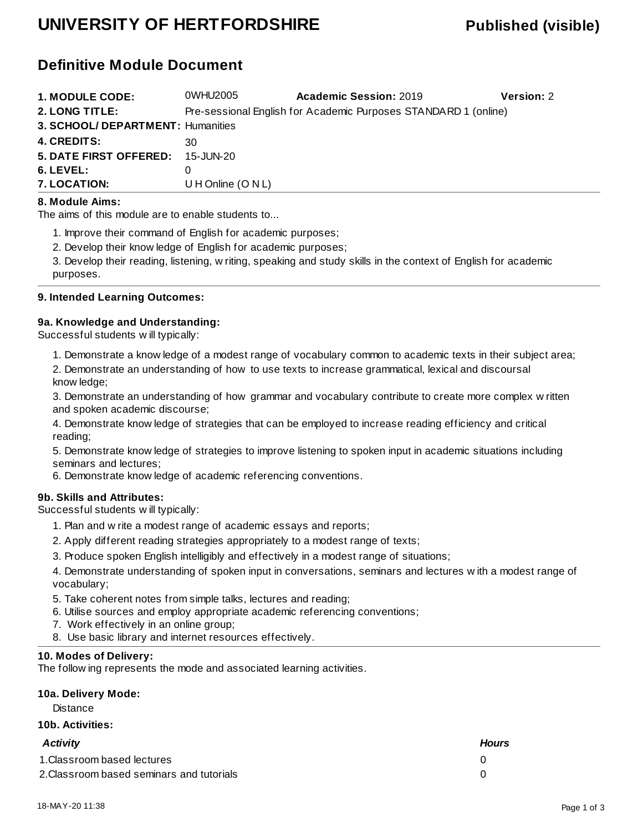# **UNIVERSITY OF HERTFORDSHIRE Published (visible)**

## **Definitive Module Document**

| <b>1. MODULE CODE:</b>            | 0WHU2005          | <b>Academic Session: 2019</b>                                   | <b>Version: 2</b> |
|-----------------------------------|-------------------|-----------------------------------------------------------------|-------------------|
| 2. LONG TITLE:                    |                   | Pre-sessional English for Academic Purposes STANDARD 1 (online) |                   |
| 3. SCHOOL/ DEPARTMENT: Humanities |                   |                                                                 |                   |
| <b>4. CREDITS:</b>                | 30                |                                                                 |                   |
| <b>5. DATE FIRST OFFERED:</b>     | 15-JUN-20         |                                                                 |                   |
| $6.$ LEVEL:                       |                   |                                                                 |                   |
| <b>7. LOCATION:</b>               | UH Online (O N L) |                                                                 |                   |

#### **8. Module Aims:**

The aims of this module are to enable students to...

1. Improve their command of English for academic purposes;

2. Develop their knowledge of English for academic purposes;

3. Develop their reading, listening, writing, speaking and study skills in the context of English for academic purposes.

#### **9. Intended Learning Outcomes:**

#### **9a. Knowledge and Understanding:**

Successful students will typically:

1. Demonstrate a knowledge of a modest range of vocabulary common to academic texts in their subject area;

2. Demonstrate an understanding of how to use texts to increase grammatical, lexical and discoursal knowledge;

3. Demonstrate an understanding of how grammar and vocabulary contribute to create more complex written and spoken academic discourse;

4. Demonstrate knowledge of strategies that can be employed to increase reading efficiency and critical reading;

5. Demonstrate knowledge of strategies to improve listening to spoken input in academic situations including seminars and lectures;

6. Demonstrate knowledge of academic referencing conventions.

#### **9b. Skills and Attributes:**

Successful students will typically:

- 1. Plan and write a modest range of academic essays and reports;
- 2. Apply different reading strategies appropriately to a modest range of texts;
- 3. Produce spoken English intelligibly and effectively in a modest range of situations;

4. Demonstrate understanding of spoken input in conversations, seminars and lectures with a modest range of vocabulary;

- 5. Take coherent notes from simple talks, lectures and reading;
- 6. Utilise sources and employ appropriate academic referencing conventions;
- 7. Work effectively in an online group;
- 8. Use basic library and internet resources effectively.

#### **10. Modes of Delivery:**

The following represents the mode and associated learning activities.

### **10a. Delivery Mode:**

**Distance** 

#### **10b. Activities:**

| <b>Activity</b>                           | <b>Hours</b> |
|-------------------------------------------|--------------|
| 1. Classroom based lectures               |              |
| 2. Classroom based seminars and tutorials |              |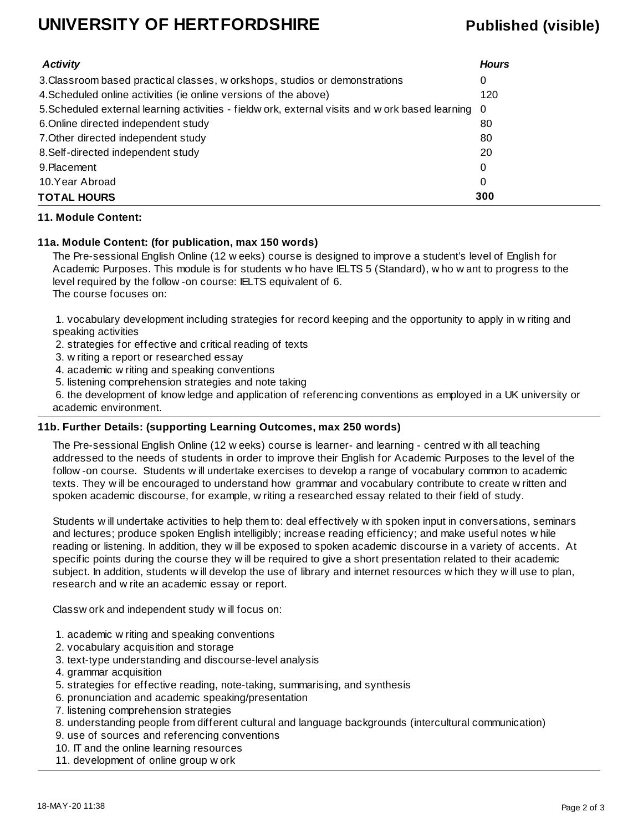# **UNIVERSITY OF HERTFORDSHIRE Published (visible)**

| <b>Activity</b>                                                                                    | <b>Hours</b> |
|----------------------------------------------------------------------------------------------------|--------------|
| 3. Classroom based practical classes, w orkshops, studios or demonstrations                        | 0            |
| 4. Scheduled online activities (ie online versions of the above)                                   | 120          |
| 5. Scheduled external learning activities - fieldw ork, external visits and w ork based learning 0 |              |
| 6. Online directed independent study                                                               | 80           |
| 7. Other directed independent study                                                                | 80           |
| 8. Self-directed independent study                                                                 | 20           |
| 9. Placement                                                                                       | 0            |
| 10.Year Abroad                                                                                     | 0            |
| <b>TOTAL HOURS</b>                                                                                 | 300          |

#### **11. Module Content:**

#### **11a. Module Content: (for publication, max 150 words)**

The Pre-sessional English Online (12 weeks) course is designed to improve a student's level of English for Academic Purposes. This module is for students who have IELTS 5 (Standard), who want to progress to the level required by the follow-on course: IELTS equivalent of 6. The course focuses on:

 1. vocabulary development including strategies for record keeping and the opportunity to apply in writing and speaking activities

- 2. strategies for effective and critical reading of texts
- 3. writing a report or researched essay
- 4. academic writing and speaking conventions
- 5. listening comprehension strategies and note taking

 6. the development of knowledge and application of referencing conventions as employed in a UK university or academic environment.

#### **11b. Further Details: (supporting Learning Outcomes, max 250 words)**

The Pre-sessional English Online (12 weeks) course is learner- and learning - centred with all teaching addressed to the needs of students in order to improve their English for Academic Purposes to the level of the follow-on course. Students will undertake exercises to develop a range of vocabulary common to academic texts. They will be encouraged to understand how grammar and vocabulary contribute to create written and spoken academic discourse, for example, writing a researched essay related to their field of study.

Students will undertake activities to help them to: deal effectively with spoken input in conversations, seminars and lectures; produce spoken English intelligibly; increase reading efficiency; and make useful notes while reading or listening. In addition, they will be exposed to spoken academic discourse in a variety of accents. At specific points during the course they will be required to give a short presentation related to their academic subject. In addition, students will develop the use of library and internet resources which they will use to plan, research and write an academic essay or report.

Classwork and independent study will focus on:

- 1. academic writing and speaking conventions
- 2. vocabulary acquisition and storage
- 3. text-type understanding and discourse-level analysis
- 4. grammar acquisition
- 5. strategies for effective reading, note-taking, summarising, and synthesis
- 6. pronunciation and academic speaking/presentation
- 7. listening comprehension strategies
- 8. understanding people from different cultural and language backgrounds (intercultural communication)
- 9. use of sources and referencing conventions
- 10. IT and the online learning resources
- 11. development of online group work